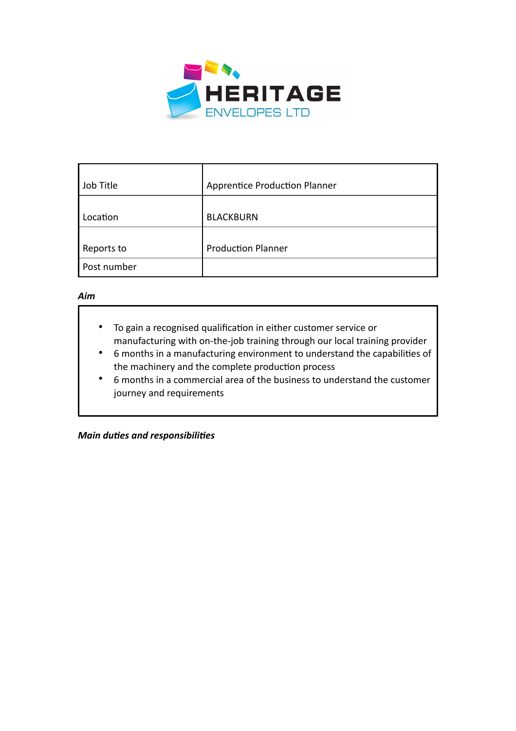

| Job Title   | <b>Apprentice Production Planner</b> |
|-------------|--------------------------------------|
|             |                                      |
| Location    | <b>BLACKBURN</b>                     |
|             |                                      |
| Reports to  | <b>Production Planner</b>            |
| Post number |                                      |

## *Aim*

- To gain a recognised qualification in either customer service or manufacturing with on-the-job training through our local training provider
- 6 months in a manufacturing environment to understand the capabilities of the machinery and the complete production process
- 6 months in a commercial area of the business to understand the customer journey and requirements

*Main duties and responsibilities*